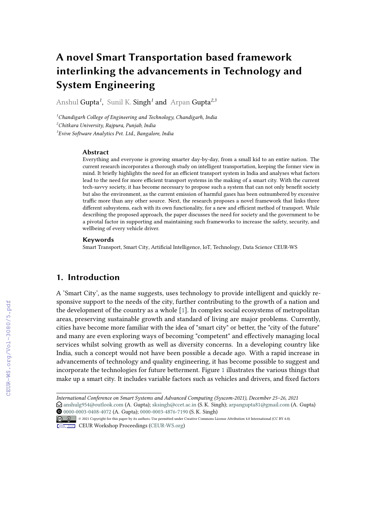# **A novel Smart Transportation based framework interlinking the advancements in Technology and System Engineering**

Anshul Gupta*<sup>1</sup>* , Sunil K. Singh*<sup>1</sup>* and Arpan Gupta*2,3*

*<sup>1</sup>Chandigarh College of Engineering and Technology, Chandigarh, India <sup>2</sup>Chitkara University, Rajpura, Punjab, India 3 Evive Software Analytics Pvt. Ltd., Bangalore, India*

#### **Abstract**

Everything and everyone is growing smarter day-by-day, from a small kid to an entire nation. The current research incorporates a thorough study on intelligent transportation, keeping the former view in mind. It briefly highlights the need for an efficient transport system in India and analyses what factors lead to the need for more efficient transport systems in the making of a smart city. With the current tech-savvy society, it has become necessary to propose such a system that can not only benefit society but also the environment, as the current emission of harmful gases has been outnumbered by excessive traffic more than any other source. Next, the research proposes a novel framework that links three different subsystems, each with its own functionality, for a new and efficient method of transport. While describing the proposed approach, the paper discusses the need for society and the government to be a pivotal factor in supporting and maintaining such frameworks to increase the safety, security, and wellbeing of every vehicle driver.

#### **Keywords**

Smart Transport, Smart City, Artificial Intelligence, IoT, Technology, Data Science CEUR-WS

### **1. Introduction**

A 'Smart City', as the name suggests, uses technology to provide intelligent and quickly responsive support to the needs of the city, further contributing to the growth of a nation and the development of the country as a whole [\[1\]](#page--1-0). In complex social ecosystems of metropolitan areas, preserving sustainable growth and standard of living are major problems. Currently, cities have become more familiar with the idea of "smart city" or better, the "city of the future" and many are even exploring ways of becoming "competent" and effectively managing local services whilst solving growth as well as diversity concerns. In a developing country like India, such a concept would not have been possible a decade ago. With a rapid increase in advancements of technology and quality engineering, it has become possible to suggest and incorporate the technologies for future betterment. Figure [1](#page--1-1) illustrates the various things that make up a smart city. It includes variable factors such as vehicles and drivers, and fixed factors

*International Conference on Smart Systems and Advanced Computing (Syscom-2021), December 25–26, 2021*  $\bigcirc$  [anshulg954@outlook.com](mailto:anshulg954@outlook.com) (A. Gupta); [sksingh@ccet.ac.in](mailto:sksingh@ccet.ac.in) (S. K. Singh); [arpangupta81@gmail.com](mailto:arpangupta81@gmail.com) (A. Gupta) [0000-0003-0408-4072](https://orcid.org/0000-0003-0408-4072) (A. Gupta); [0000-0003-4876-7190](https://orcid.org/0000-0003-4876-7190) (S. K. Singh)

<sup>©</sup> 2021 Copyright for this paper by its authors. Use permitted under Creative Commons License Attribution 4.0 International (CC BY 4.0).

CEUR Workshop [Proceedings](http://ceur-ws.org) [\(CEUR-WS.org\)](http://ceur-ws.org)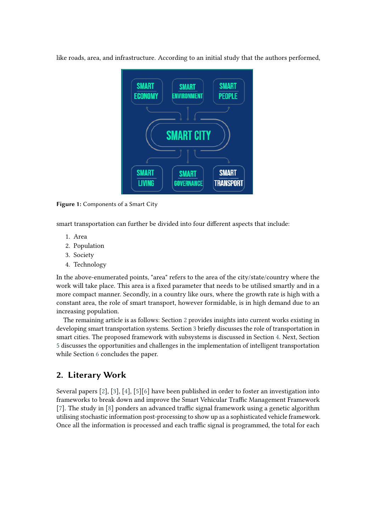like roads, area, and infrastructure. According to an initial study that the authors performed,



**Figure 1:** Components of a Smart City

smart transportation can further be divided into four different aspects that include:

- 1. Area
- 2. Population
- 3. Society
- 4. Technology

In the above-enumerated points, "area" refers to the area of the city/state/country where the work will take place. This area is a fixed parameter that needs to be utilised smartly and in a more compact manner. Secondly, in a country like ours, where the growth rate is high with a constant area, the role of smart transport, however formidable, is in high demand due to an increasing population.

The remaining article is as follows: Section [2](#page-1-0) provides insights into current works existing in developing smart transportation systems. Section [3](#page-2-0) briefly discusses the role of transportation in smart cities. The proposed framework with subsystems is discussed in Section [4.](#page-2-1) Next, Section [5](#page-3-0) discusses the opportunities and challenges in the implementation of intelligent transportation while Section [6](#page-5-0) concludes the paper.

## <span id="page-1-0"></span>**2. Literary Work**

Several papers [\[2\]](#page-5-1), [\[3\]](#page-5-2), [\[4\]](#page-5-3), [\[5\]](#page-5-4)[\[6\]](#page-5-5) have been published in order to foster an investigation into frameworks to break down and improve the Smart Vehicular Traffic Management Framework [\[7\]](#page-5-6). The study in [\[8\]](#page-5-7) ponders an advanced traffic signal framework using a genetic algorithm utilising stochastic information post-processing to show up as a sophisticated vehicle framework. Once all the information is processed and each traffic signal is programmed, the total for each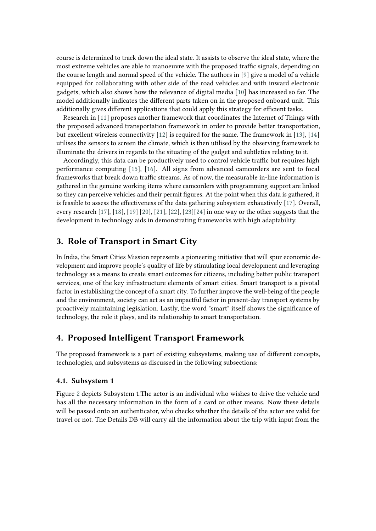course is determined to track down the ideal state. It assists to observe the ideal state, where the most extreme vehicles are able to manoeuvre with the proposed traffic signals, depending on the course length and normal speed of the vehicle. The authors in [\[9\]](#page-5-8) give a model of a vehicle equipped for collaborating with other side of the road vehicles and with inward electronic gadgets, which also shows how the relevance of digital media [\[10\]](#page-5-9) has increased so far. The model additionally indicates the different parts taken on in the proposed onboard unit. This additionally gives different applications that could apply this strategy for efficient tasks.

Research in [\[11\]](#page-6-0) proposes another framework that coordinates the Internet of Things with the proposed advanced transportation framework in order to provide better transportation, but excellent wireless connectivity [\[12\]](#page-6-1) is required for the same. The framework in [\[13\]](#page-6-2), [\[14\]](#page-6-3) utilises the sensors to screen the climate, which is then utilised by the observing framework to illuminate the drivers in regards to the situating of the gadget and subtleties relating to it.

Accordingly, this data can be productively used to control vehicle traffic but requires high performance computing [\[15\]](#page-6-4), [\[16\]](#page-6-5). All signs from advanced camcorders are sent to focal frameworks that break down traffic streams. As of now, the measurable in-line information is gathered in the genuine working items where camcorders with programming support are linked so they can perceive vehicles and their permit figures. At the point when this data is gathered, it is feasible to assess the effectiveness of the data gathering subsystem exhaustively [\[17\]](#page-6-6). Overall, every research [\[17\]](#page-6-6), [\[18\]](#page-6-7), [\[19\]](#page-6-8) [\[20\]](#page-6-9), [\[21\]](#page-6-10), [\[22\]](#page-6-11), [\[23\]](#page-6-12)[\[24\]](#page-7-0) in one way or the other suggests that the development in technology aids in demonstrating frameworks with high adaptability.

### <span id="page-2-0"></span>**3. Role of Transport in Smart City**

In India, the Smart Cities Mission represents a pioneering initiative that will spur economic development and improve people's quality of life by stimulating local development and leveraging technology as a means to create smart outcomes for citizens, including better public transport services, one of the key infrastructure elements of smart cities. Smart transport is a pivotal factor in establishing the concept of a smart city. To further improve the well-being of the people and the environment, society can act as an impactful factor in present-day transport systems by proactively maintaining legislation. Lastly, the word "smart" itself shows the significance of technology, the role it plays, and its relationship to smart transportation.

# <span id="page-2-1"></span>**4. Proposed Intelligent Transport Framework**

The proposed framework is a part of existing subsystems, making use of different concepts, technologies, and subsystems as discussed in the following subsections:

#### **4.1. Subsystem 1**

Figure [2](#page-3-1) depicts Subsystem 1.The actor is an individual who wishes to drive the vehicle and has all the necessary information in the form of a card or other means. Now these details will be passed onto an authenticator, who checks whether the details of the actor are valid for travel or not. The Details DB will carry all the information about the trip with input from the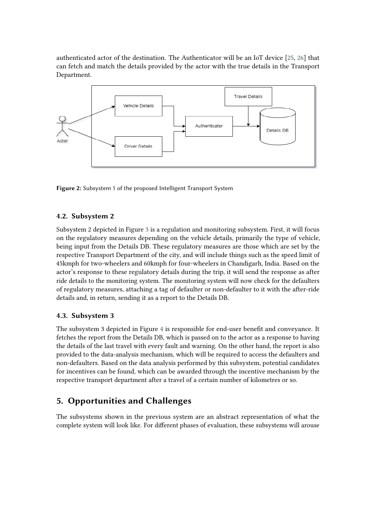authenticated actor of the destination. The Authenticator will be an IoT device [\[25,](#page-7-1) [26\]](#page-7-2) that can fetch and match the details provided by the actor with the true details in the Transport Department.



<span id="page-3-1"></span>**Figure 2:** Subsystem 1 of the proposed Intelligent Transport System

#### **4.2. Subsystem 2**

Subsystem 2 depicted in Figure [3](#page-4-0) is a regulation and monitoring subsystem. First, it will focus on the regulatory measures depending on the vehicle details, primarily the type of vehicle, being input from the Details DB. These regulatory measures are those which are set by the respective Transport Department of the city, and will include things such as the speed limit of 45kmph for two-wheelers and 60kmph for four-wheelers in Chandigarh, India. Based on the actor's response to these regulatory details during the trip, it will send the response as after ride details to the monitoring system. The monitoring system will now check for the defaulters of regulatory measures, attaching a tag of defaulter or non-defaulter to it with the after-ride details and, in return, sending it as a report to the Details DB.

#### **4.3. Subsystem 3**

The subsystem 3 depicted in Figure [4](#page-4-1) is responsible for end-user benefit and conveyance. It fetches the report from the Details DB, which is passed on to the actor as a response to having the details of the last travel with every fault and warning. On the other hand, the report is also provided to the data-analysis mechanism, which will be required to access the defaulters and non-defaulters. Based on the data analysis performed by this subsystem, potential candidates for incentives can be found, which can be awarded through the incentive mechanism by the respective transport department after a travel of a certain number of kilometres or so.

## <span id="page-3-0"></span>**5. Opportunities and Challenges**

The subsystems shown in the previous system are an abstract representation of what the complete system will look like. For different phases of evaluation, these subsystems will arouse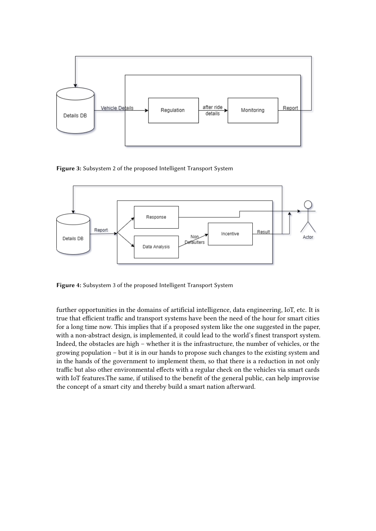

<span id="page-4-0"></span>**Figure 3:** Subsystem 2 of the proposed Intelligent Transport System



<span id="page-4-1"></span>**Figure 4:** Subsystem 3 of the proposed Intelligent Transport System

further opportunities in the domains of artificial intelligence, data engineering, IoT, etc. It is true that efficient traffic and transport systems have been the need of the hour for smart cities for a long time now. This implies that if a proposed system like the one suggested in the paper, with a non-abstract design, is implemented, it could lead to the world's finest transport system. Indeed, the obstacles are high – whether it is the infrastructure, the number of vehicles, or the growing population – but it is in our hands to propose such changes to the existing system and in the hands of the government to implement them, so that there is a reduction in not only traffic but also other environmental effects with a regular check on the vehicles via smart cards with IoT features.The same, if utilised to the benefit of the general public, can help improvise the concept of a smart city and thereby build a smart nation afterward.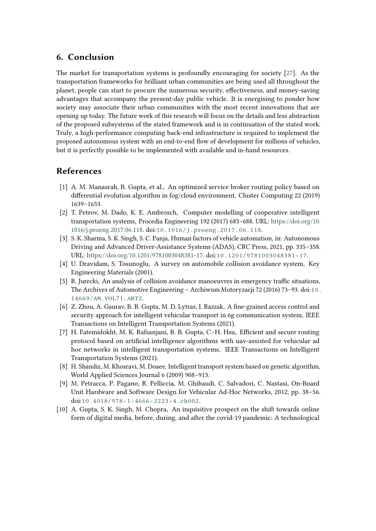### <span id="page-5-0"></span>**6. Conclusion**

The market for transportation systems is profoundly encouraging for society [\[27\]](#page-7-3). As the transportation frameworks for brilliant urban communities are being used all throughout the planet, people can start to procure the numerous security, effectiveness, and money-saving advantages that accompany the present-day public vehicle. It is energising to ponder how society may associate their urban communities with the most recent innovations that are opening up today. The future work of this research will focus on the details and less abstraction of the proposed subsystems of the stated framework and is in continuation of the stated work. Truly, a high-performance computing back-end infrastructure is required to implement the proposed autonomous system with an end-to-end flow of development for millions of vehicles, but it is perfectly possible to be implemented with available and in-hand resources.

### **References**

- [1] A. M. Manasrah, B. Gupta, et al., An optimized service broker routing policy based on differential evolution algorithm in fog/cloud environment, Cluster Computing 22 (2019) 1639–1653.
- <span id="page-5-1"></span>[2] T. Petrov, M. Dado, K. E. Ambrosch, Computer modelling of cooperative intelligent transportation systems, Procedia Engineering 192 (2017) 683–688. URL: [https://doi.org/10.](https://doi.org/10.1016/j.proeng.2017.06.118) [1016/j.proeng.2017.06.118.](https://doi.org/10.1016/j.proeng.2017.06.118) doi:[10.1016/j.proeng.2017.06.118](http://dx.doi.org/10.1016/j.proeng.2017.06.118).
- <span id="page-5-2"></span>[3] S. K. Sharma, S. K. Singh, S. C. Panja, Human factors of vehicle automation, in: Autonomous Driving and Advanced Driver-Assistance Systems (ADAS), CRC Press, 2021, pp. 335–358. URL: [https://doi.org/10.1201/9781003048381-17.](https://doi.org/10.1201/9781003048381-17) doi:[10.1201/9781003048381-17](http://dx.doi.org/10.1201/9781003048381-17).
- <span id="page-5-3"></span>[4] U. Dravidam, S. Tosunoglu, A survey on automobile collision avoidance system, Key Engineering Materials (2001).
- <span id="page-5-4"></span>[5] R. Jurecki, An analysis of collision avoidance manoeuvres in emergency traffic situations, The Archives of Automotive Engineering – Archiwum Motoryzacji 72 (2016) 73–93. doi:[10.](http://dx.doi.org/10.14669/AM.VOL71.ART2) [14669/AM.VOL71.ART2](http://dx.doi.org/10.14669/AM.VOL71.ART2).
- <span id="page-5-5"></span>[6] Z. Zhou, A. Gaurav, B. B. Gupta, M. D. Lytras, I. Razzak, A fine-grained access control and security approach for intelligent vehicular transport in 6g communication system, IEEE Transactions on Intelligent Transportation Systems (2021).
- <span id="page-5-6"></span>[7] H. Fatemidokht, M. K. Rafsanjani, B. B. Gupta, C.-H. Hsu, Efficient and secure routing protocol based on artificial intelligence algorithms with uav-assisted for vehicular ad hoc networks in intelligent transportation systems, IEEE Transactions on Intelligent Transportation Systems (2021).
- <span id="page-5-7"></span>[8] H. Shandiz, M. Khosravi, M. Doaee, Intelligent transport system based on genetic algorithm, World Applied Sciences Journal 6 (2009) 908–913.
- <span id="page-5-8"></span>[9] M. Petracca, P. Pagano, R. Pelliccia, M. Ghibaudi, C. Salvadori, C. Nastasi, On-Board Unit Hardware and Software Design for Vehicular Ad-Hoc Networks, 2012, pp. 38–56. doi:[10.4018/978-1-4666-2223-4.ch002](http://dx.doi.org/10.4018/978-1-4666-2223-4.ch002).
- <span id="page-5-9"></span>[10] A. Gupta, S. K. Singh, M. Chopra, An inquisitive prospect on the shift towards online form of digital media, before, during, and after the covid-19 pandemic: A technological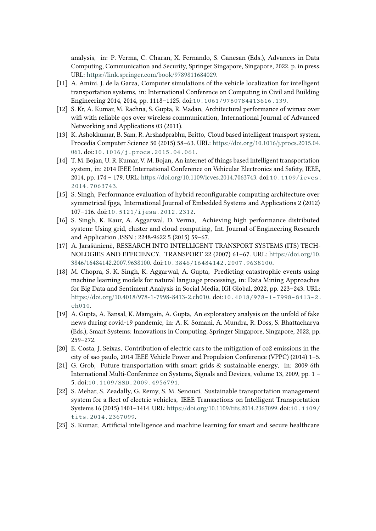analysis, in: P. Verma, C. Charan, X. Fernando, S. Ganesan (Eds.), Advances in Data Computing, Communication and Security, Springer Singapore, Singapore, 2022, p. in press. URL: [https://link.springer.com/book/9789811684029.](https://link.springer.com/book/9789811684029)

- <span id="page-6-0"></span>[11] A. Amini, J. de la Garza, Computer simulations of the vehicle localization for intelligent transportation systems, in: International Conference on Computing in Civil and Building Engineering 2014, 2014, pp. 1118–1125. doi:[10.1061/9780784413616.139](http://dx.doi.org/10.1061/9780784413616.139).
- <span id="page-6-1"></span>[12] S. Kr, A. Kumar, M. Rachna, S. Gupta, R. Madan, Architectural performance of wimax over wifi with reliable qos over wireless communication, International Journal of Advanced Networking and Applications 03 (2011).
- <span id="page-6-2"></span>[13] K. Ashokkumar, B. Sam, R. Arshadprabhu, Britto, Cloud based intelligent transport system, Procedia Computer Science 50 (2015) 58–63. URL: [https://doi.org/10.1016/j.procs.2015.04.](https://doi.org/10.1016/j.procs.2015.04.061) [061.](https://doi.org/10.1016/j.procs.2015.04.061) doi:[10.1016/j.procs.2015.04.061](http://dx.doi.org/10.1016/j.procs.2015.04.061).
- <span id="page-6-3"></span>[14] T. M. Bojan, U. R. Kumar, V. M. Bojan, An internet of things based intelligent transportation system, in: 2014 IEEE International Conference on Vehicular Electronics and Safety, IEEE, 2014, pp. 174 – 179. URL: [https://doi.org/10.1109/icves.2014.7063743.](https://doi.org/10.1109/icves.2014.7063743) doi:[10.1109/icves.](http://dx.doi.org/10.1109/icves.2014.7063743) [2014.7063743](http://dx.doi.org/10.1109/icves.2014.7063743).
- <span id="page-6-4"></span>[15] S. Singh, Performance evaluation of hybrid reconfigurable computing architecture over symmetrical fpga, International Journal of Embedded Systems and Applications 2 (2012) 107–116. doi:[10.5121/ijesa.2012.2312](http://dx.doi.org/10.5121/ijesa.2012.2312).
- <span id="page-6-5"></span>[16] S. Singh, K. Kaur, A. Aggarwal, D. Verma, Achieving high performance distributed system: Using grid, cluster and cloud computing, Int. Journal of Engineering Research and Application ,ISSN : 2248-9622 5 (2015) 59–67.
- <span id="page-6-6"></span>[17] A. Jarašūnienė, RESEARCH INTO INTELLIGENT TRANSPORT SYSTEMS (ITS) TECH-NOLOGIES AND EFFICIENCY, TRANSPORT 22 (2007) 61–67. URL: [https://doi.org/10.](https://doi.org/10.3846/16484142.2007.9638100) [3846/16484142.2007.9638100.](https://doi.org/10.3846/16484142.2007.9638100) doi:[10.3846/16484142.2007.9638100](http://dx.doi.org/10.3846/16484142.2007.9638100).
- <span id="page-6-7"></span>[18] M. Chopra, S. K. Singh, K. Aggarwal, A. Gupta, Predicting catastrophic events using machine learning models for natural language processing, in: Data Mining Approaches for Big Data and Sentiment Analysis in Social Media, IGI Global, 2022, pp. 223–243. URL: [https://doi.org/10.4018/978-1-7998-8413-2.ch010.](https://doi.org/10.4018/978-1-7998-8413-2.ch010) doi:[10.4018/978-1-7998-8413-2.](http://dx.doi.org/10.4018/978-1-7998-8413-2.ch010) [ch010](http://dx.doi.org/10.4018/978-1-7998-8413-2.ch010).
- <span id="page-6-8"></span>[19] A. Gupta, A. Bansal, K. Mamgain, A. Gupta, An exploratory analysis on the unfold of fake news during covid-19 pandemic, in: A. K. Somani, A. Mundra, R. Doss, S. Bhattacharya (Eds.), Smart Systems: Innovations in Computing, Springer Singapore, Singapore, 2022, pp. 259–272.
- <span id="page-6-9"></span>[20] E. Costa, J. Seixas, Contribution of electric cars to the mitigation of co2 emissions in the city of sao paulo, 2014 IEEE Vehicle Power and Propulsion Conference (VPPC) (2014) 1–5.
- <span id="page-6-10"></span>[21] G. Grob, Future transportation with smart grids & sustainable energy, in: 2009 6th International Multi-Conference on Systems, Signals and Devices, volume 13, 2009, pp. 1 – 5. doi:[10.1109/SSD.2009.4956791](http://dx.doi.org/10.1109/SSD.2009.4956791).
- <span id="page-6-11"></span>[22] S. Mehar, S. Zeadally, G. Remy, S. M. Senouci, Sustainable transportation management system for a fleet of electric vehicles, IEEE Transactions on Intelligent Transportation Systems 16 (2015) 1401–1414. URL: [https://doi.org/10.1109/tits.2014.2367099.](https://doi.org/10.1109/tits.2014.2367099) doi:[10.1109/](http://dx.doi.org/10.1109/tits.2014.2367099) [tits.2014.2367099](http://dx.doi.org/10.1109/tits.2014.2367099).
- <span id="page-6-12"></span>[23] S. Kumar, Artificial intelligence and machine learning for smart and secure healthcare